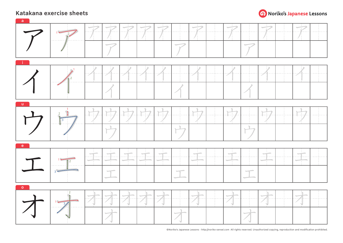

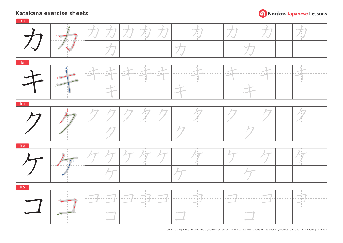

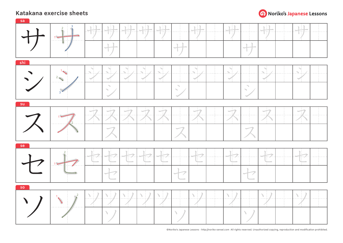

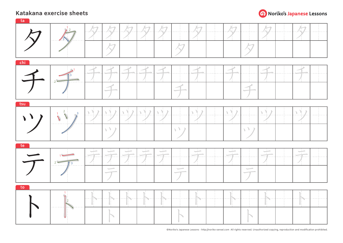

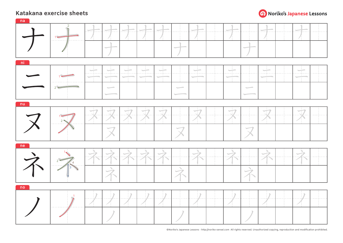

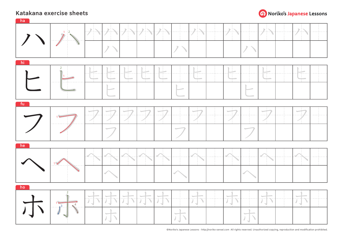

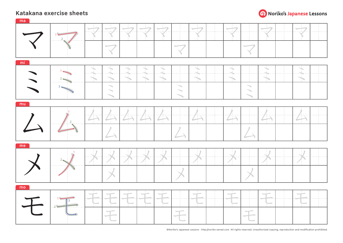

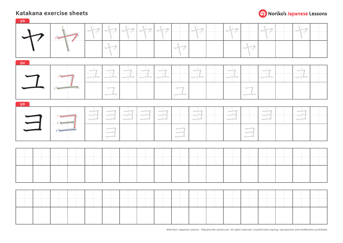

|     | $\overline{L}$ | 777777777777 |               |   |                                                                                                                          |                          |  |               |        |  |                                   |  |           |  |   |  |
|-----|----------------|--------------|---------------|---|--------------------------------------------------------------------------------------------------------------------------|--------------------------|--|---------------|--------|--|-----------------------------------|--|-----------|--|---|--|
| yu  |                |              |               |   |                                                                                                                          |                          |  |               |        |  |                                   |  |           |  |   |  |
|     |                |              | $\frac{1}{2}$ |   |                                                                                                                          |                          |  |               | $\Box$ |  |                                   |  | $\bigcap$ |  |   |  |
| yo. |                |              |               |   |                                                                                                                          |                          |  |               |        |  |                                   |  |           |  |   |  |
|     | $\Box$         |              |               | Ŧ | 국                                                                                                                        | $\overline{\phantom{a}}$ |  | $\frac{1}{2}$ |        |  | $\left \frac{1}{\sqrt{2}}\right $ |  |           |  | Ŧ |  |
|     |                |              |               |   | $\begin{array}{c} \begin{array}{c} \begin{array}{c} \end{array} \\ \begin{array}{c} \end{array} \end{array} \end{array}$ |                          |  |               |        |  |                                   |  |           |  |   |  |
|     |                |              |               |   |                                                                                                                          |                          |  |               |        |  |                                   |  |           |  |   |  |
|     |                |              |               |   |                                                                                                                          |                          |  |               |        |  |                                   |  |           |  |   |  |
|     |                |              |               |   |                                                                                                                          |                          |  |               |        |  |                                   |  |           |  |   |  |
|     |                |              |               |   |                                                                                                                          |                          |  |               |        |  |                                   |  |           |  |   |  |
|     |                |              |               |   |                                                                                                                          |                          |  |               |        |  |                                   |  |           |  |   |  |
|     |                |              |               |   |                                                                                                                          |                          |  |               |        |  |                                   |  |           |  |   |  |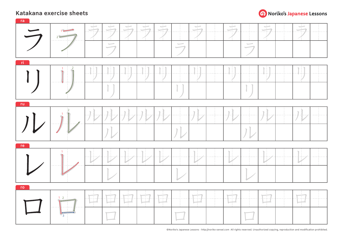

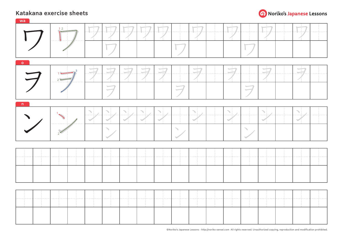